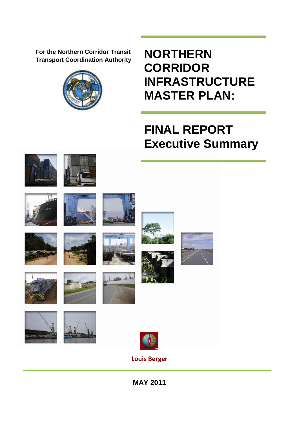**For the Northern Corridor Transit Transport Coordination Authority**



**NORTHERN CORRIDOR INFRASTRUCTURE MASTER PLAN:**

# **FINAL REPORT Executive Summary**



**MAY 2011**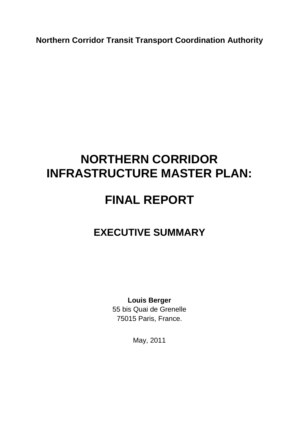**Northern Corridor Transit Transport Coordination Authority**

## **NORTHERN CORRIDOR INFRASTRUCTURE MASTER PLAN:**

## **FINAL REPORT**

### **EXECUTIVE SUMMARY**

**Louis Berger**  55 bis Quai de Grenelle 75015 Paris, France.

May, 2011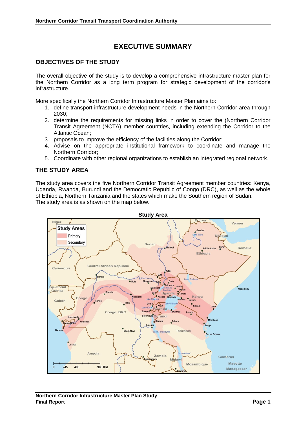### **EXECUTIVE SUMMARY**

#### **OBJECTIVES OF THE STUDY**

The overall objective of the study is to develop a comprehensive infrastructure master plan for the Northern Corridor as a long term program for strategic development of the corridor's infrastructure.

More specifically the Northern Corridor Infrastructure Master Plan aims to:

- 1. define transport infrastructure development needs in the Northern Corridor area through 2030;
- 2. determine the requirements for missing links in order to cover the (Northern Corridor Transit Agreement (NCTA) member countries, including extending the Corridor to the Atlantic Ocean;
- 3. proposals to improve the efficiency of the facilities along the Corridor;
- 4. Advise on the appropriate institutional framework to coordinate and manage the Northern Corridor;
- 5. Coordinate with other regional organizations to establish an integrated regional network.

#### **THE STUDY AREA**

The study area covers the five Northern Corridor Transit Agreement member countries: Kenya, Uganda, Rwanda, Burundi and the Democratic Republic of Congo (DRC), as well as the whole of Ethiopia, Northern Tanzania and the states which make the Southern region of Sudan. The study area is as shown on the map below.

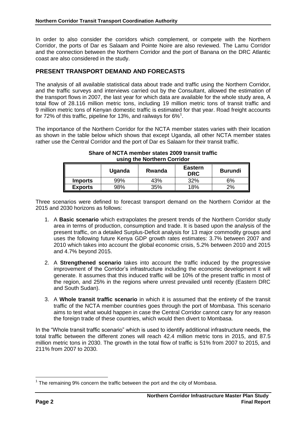In order to also consider the corridors which complement, or compete with the Northern Corridor, the ports of Dar es Salaam and Pointe Noire are also reviewed. The Lamu Corridor and the connection between the Northern Corridor and the port of Banana on the DRC Atlantic coast are also considered in the study.

### **PRESENT TRANSPORT DEMAND AND FORECASTS**

The analysis of all available statistical data about trade and traffic using the Northern Corridor, and the traffic surveys and interviews carried out by the Consultant, allowed the estimation of the transport flows in 2007, the last year for which data are available for the whole study area, A total flow of 28.116 million metric tons, including 19 million metric tons of transit traffic and 9 million metric tons of Kenyan domestic traffic is estimated for that year. Road freight accounts for 72% of this traffic, pipeline for 13%, and railways for 6%<sup>1</sup>.

The importance of the Northern Corridor for the NCTA member states varies with their location as shown in the table below which shows that except Uganda, all other NCTA member states rather use the Central Corridor and the port of Dar es Salaam for their transit traffic.

|                | Uganda | Rwanda | <b>Eastern</b><br><b>DRC</b> | <b>Burundi</b> |
|----------------|--------|--------|------------------------------|----------------|
| <b>Imports</b> | 99%    | 43%    | 32%                          | 6%             |
| <b>Exports</b> | 98%    | 35%    | 18%                          | 2%             |

#### **Share of NCTA member states 2009 transit traffic using the Northern Corridor**

Three scenarios were defined to forecast transport demand on the Northern Corridor at the 2015 and 2030 horizons as follows:

- 1. A **Basic scenario** which extrapolates the present trends of the Northern Corridor study area in terms of production, consumption and trade. It is based upon the analysis of the present traffic, on a detailed Surplus-Deficit analysis for 13 major commodity groups and uses the following future Kenya GDP growth rates estimates: 3.7% between 2007 and 2010 which takes into account the global economic crisis, 5.2% between 2010 and 2015 and 4.7% beyond 2015.
- 2. A **Strengthened scenario** takes into account the traffic induced by the progressive improvement of the Corridor's infrastructure including the economic development it will generate. It assumes that this induced traffic will be 10% of the present traffic in most of the region, and 25% in the regions where unrest prevailed until recently (Eastern DRC and South Sudan).
- 3. A **Whole transit traffic scenario** in which it is assumed that the entirety of the transit traffic of the NCTA member countries goes through the port of Mombasa. This scenario aims to test what would happen in case the Central Corridor cannot carry for any reason the foreign trade of these countries, which would then divert to Mombasa.

In the "Whole transit traffic scenario" which is used to identify additional infrastructure needs, the total traffic between the different zones will reach 42.4 million metric tons in 2015, and 87.5 million metric tons in 2030. The growth in the total flow of traffic is 51% from 2007 to 2015, and 211% from 2007 to 2030.

 $\overline{a}$  $1$  The remaining 9% concern the traffic between the port and the city of Mombasa.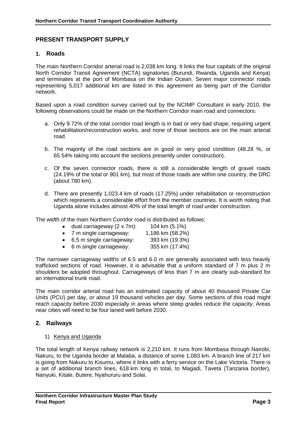#### **PRESENT TRANSPORT SUPPLY**

#### **1. Roads**

The main Northern Corridor arterial road is 2,038 km long. It links the four capitals of the original North Corridor Transit Agreement (NCTA) signatories (Burundi, Rwanda, Uganda and Kenya) and terminates at the port of Mombasa on the Indian Ocean. Seven major connector roads representing 5,017 additional km are listed in this agreement as being part of the Corridor network.

Based upon a road condition survey carried out by the NCIMP Consultant in early 2010, the following observations could be made on the Northern Corridor main road and connectors:

- a. Only 9.72% of the total corridor road length is in bad or very bad shape, requiring urgent rehabilitation/reconstruction works, and none of those sections are on the main arterial road.
- b. The majority of the road sections are in good or very good condition (48.28 %, or 65.54% taking into account the sections presently under construction).
- c. Of the seven connector roads, there is still a considerable length of gravel roads (24.19% of the total or 901 km), but most of those roads are within one country, the DRC (about 780 km).
- d. There are presently 1,023.4 km of roads (17.25%) under rehabilitation or reconstruction which represents a considerable effort from the member countries. It is worth noting that Uganda alone includes almost 40% of the total length of road under construction.

The width of the main Northern Corridor road is distributed as follows:

| dual carriageway (2 x 7m): | 104 km (5.1%)    |
|----------------------------|------------------|
| 7 m single carriageway:    | 1,186 km (58.2%) |

- 6.5 m single carriageway: 393 km (19.3%)
- 6 m single carriageway: 355 km (17.4%)

The narrower carriageway widths of 6.5 and 6.0 m are generally associated with less heavily trafficked sections of road. However, it is advisable that a uniform standard of 7 m plus 2 m shoulders be adopted throughout. Carriageways of less than 7 m are clearly sub-standard for an international trunk road.

The main corridor arterial road has an estimated capacity of about 40 thousand Private Car Units (PCU) per day, or about 19 thousand vehicles per day. Some sections of this road might reach capacity before 2030 especially in areas where steep grades reduce the capacity. Areas near cities will need to be four laned well before 2030.

#### **2. Railways**

#### 1) Kenya and Uganda

The total length of Kenya railway network is 2,210 km. It runs from Mombasa through Nairobi, Nakuru, to the Uganda border at Malaba, a distance of some 1,083 km. A branch line of 217 km is going from Nakuru to Kisumu, where it links with a ferry service on the Lake Victoria. There is a set of additional branch lines, 618 km long in total, to Magadi, Taveta (Tanzania border), Nanyuki, Kitale, Butere, Nyahururu and Solai.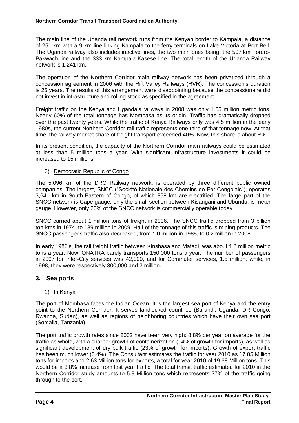The main line of the Uganda rail network runs from the Kenyan border to Kampala, a distance of 251 km with a 9 km line linking Kampala to the ferry terminals on Lake Victoria at Port Bell. The Uganda railway also includes inactive lines, the two main ones being: the 507 km Tororo-Pakwach line and the 333 km Kampala-Kasese line. The total length of the Uganda Railway network is 1,241 km.

The operation of the Northern Corridor main railway network has been privatized through a concession agreement in 2006 with the Rift Valley Railways (RVR). The concession's duration is 25 years. The results of this arrangement were disappointing because the concessionaire did not invest in infrastructure and rolling stock as specified in the agreement.

Freight traffic on the Kenya and Uganda's railways in 2008 was only 1.65 million metric tons. Nearly 60% of the total tonnage has Mombasa as its origin. Traffic has dramatically dropped over the past twenty years. While the traffic of Kenya Railways only was 4.5 million in the early 1980s, the current Northern Corridor rail traffic represents one third of that tonnage now. At that time, the railway market share of freight transport exceeded 40%. Now, this share is about 6%.

In its present condition, the capacity of the Northern Corridor main railways could be estimated at less than 5 million tons a year. With significant infrastructure investments it could be increased to 15 millions.

#### 2) Democratic Republic of Congo

The 5,096 km of the DRC Railway network, is operated by three different public owned companies. The largest, SNCC ("Société Nationale des Chemins de Fer Congolais"), operates 3,641 km in South-Eastern of Congo, of which 858 km are electrified. The large part of the SNCC network is Cape gauge, only the small section between Kisangani and Ubundu, is meter gauge. However, only 20% of the SNCC network is commercially operable today.

SNCC carried about 1 million tons of freight in 2006. The SNCC traffic dropped from 3 billion ton-kms in 1974, to 189 million in 2009. Half of the tonnage of this traffic is mining products. The SNCC passenger's traffic also decreased, from 1.0 million in 1988, to 0.2 million in 2008.

In early 1980's, the rail freight traffic between Kinshasa and Matadi, was about 1.3 million metric tons a year. Now, ONATRA barely transports 150,000 tons a year. The number of passengers in 2007 for Inter-City services was 42,000, and for Commuter services, 1.5 million, while, in 1998, they were respectively 300,000 and 2 million.

#### **3. Sea ports**

#### 1) In Kenya

The port of Mombasa faces the Indian Ocean. It is the largest sea port of Kenya and the entry point to the Northern Corridor. It serves landlocked countries (Burundi, Uganda, DR Congo, Rwanda, Sudan), as well as regions of neighboring countries which have their own sea port (Somalia, Tanzania).

The port traffic growth rates since 2002 have been very high: 8.8% per year on average for the traffic as whole, with a sharper growth of containerization (14% of growth for imports), as well as significant development of dry bulk traffic (23% of growth for imports). Growth of export traffic has been much lower (0.4%). The Consultant estimates the traffic for year 2010 as 17.05 Million tons for imports and 2.63 Million tons for exports, a total for year 2010 of 19.68 Million tons. This would be a 3.8% increase from last year traffic. The total transit traffic estimated for 2010 in the Northern Corridor study amounts to 5.3 Million tons which represents 27% of the traffic going through to the port.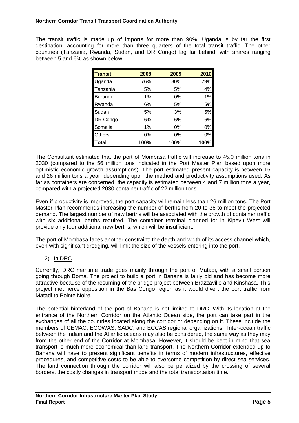The transit traffic is made up of imports for more than 90%. Uganda is by far the first destination, accounting for more than three quarters of the total transit traffic. The other countries (Tanzania, Rwanda, Sudan, and DR Congo) lag far behind, with shares ranging between 5 and 6% as shown below.

| <b>Transit</b> | 2008 | 2009 | 2010 |
|----------------|------|------|------|
| Uganda         | 76%  | 80%  | 79%  |
| Tanzania       | 5%   | 5%   | 4%   |
| Burundi        | 1%   | 0%   | 1%   |
| Rwanda         | 6%   | 5%   | 5%   |
| Sudan          | 5%   | 3%   | 5%   |
| DR Congo       | 6%   | 6%   | 6%   |
| Somalia        | 1%   | 0%   | 0%   |
| <b>Others</b>  | 0%   | 0%   | 0%   |
| Total          | 100% | 100% | 100% |

The Consultant estimated that the port of Mombasa traffic will increase to 45.0 million tons in 2030 (compared to the 56 million tons indicated in the Port Master Plan based upon more optimistic economic growth assumptions). The port estimated present capacity is between 15 and 26 million tons a year, depending upon the method and productivity assumptions used. As far as containers are concerned, the capacity is estimated between 4 and 7 million tons a year, compared with a projected 2030 container traffic of 22 million tons.

Even if productivity is improved, the port capacity will remain less than 26 million tons. The Port Master Plan recommends increasing the number of berths from 20 to 36 to meet the projected demand. The largest number of new berths will be associated with the growth of container traffic with six additional berths required. The container terminal planned for in Kipevu West will provide only four additional new berths, which will be insufficient.

The port of Mombasa faces another constraint: the depth and width of its access channel which, even with significant dredging, will limit the size of the vessels entering into the port.

2) In DRC

Currently, DRC maritime trade goes mainly through the port of Matadi, with a small portion going through Boma. The project to build a port in Banana is fairly old and has become more attractive because of the resuming of the bridge project between Brazzaville and Kinshasa. This project met fierce opposition in the Bas Congo region as it would divert the port traffic from Matadi to Pointe Noire.

The potential hinterland of the port of Banana is not limited to DRC. With its location at the entrance of the Northern Corridor on the Atlantic Ocean side, the port can take part in the exchanges of all the countries located along the corridor or depending on it. These include the members of CEMAC, ECOWAS, SADC, and ECCAS regional organizations. Inter-ocean traffic between the Indian and the Atlantic oceans may also be considered, the same way as they may from the other end of the Corridor at Mombasa. However, it should be kept in mind that sea transport is much more economical than land transport. The Northern Corridor extended up to Banana will have to present significant benefits in terms of modern infrastructures, effective procedures, and competitive costs to be able to overcome competition by direct sea services. The land connection through the corridor will also be penalized by the crossing of several borders, the costly changes in transport mode and the total transportation time.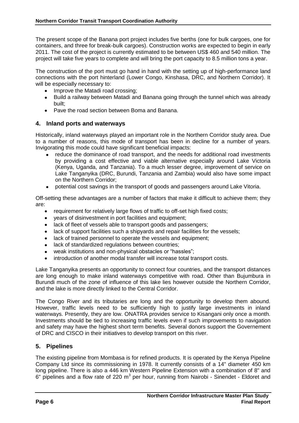The present scope of the Banana port project includes five berths (one for bulk cargoes, one for containers, and three for break-bulk cargoes). Construction works are expected to begin in early 2011. The cost of the project is currently estimated to be between US\$ 460 and 540 million. The project will take five years to complete and will bring the port capacity to 8.5 million tons a year.

The construction of the port must go hand in hand with the setting up of high-performance land connections with the port hinterland (Lower Congo, Kinshasa, DRC, and Northern Corridor). It will be especially necessary to:

- Improve the Matadi road crossing;
- Build a railway between Matadi and Banana going through the tunnel which was already built;
- Pave the road section between Boma and Banana.

#### **4. Inland ports and waterways**

Historically, inland waterways played an important role in the Northern Corridor study area. Due to a number of reasons, this mode of transport has been in decline for a number of years. Invigorating this mode could have significant beneficial impacts:

- reduce the dominance of road transport, and the needs for additional road investments by providing a cost effective and viable alternative especially around Lake Victoria (Kenya, Uganda, and Tanzania). To a much lesser degree, improvement of service on Lake Tanganyika (DRC, Burundi, Tanzania and Zambia) would also have some impact on the Northern Corridor;
- potential cost savings in the transport of goods and passengers around Lake Vitoria.  $\bullet$

Off-setting these advantages are a number of factors that make it difficult to achieve them; they are:

- requirement for relatively large flows of traffic to off-set high fixed costs;
- years of disinvestment in port facilities and equipment;
- lack of fleet of vessels able to transport goods and passengers:
- lack of support facilities such a shipyards and repair facilities for the vessels;
- lack of trained personnel to operate the vessels and equipment;
- lack of standardized regulations between countries;
- weak institutions and non-physical obstacles or "hassles";  $\bullet$
- introduction of another modal transfer will increase total transport costs.

Lake Tanganyika presents an opportunity to connect four countries, and the transport distances are long enough to make inland waterways competitive with road. Other than Bujumbura in Burundi much of the zone of influence of this lake lies however outside the Northern Corridor, and the lake is more directly linked to the Central Corridor.

The Congo River and its tributaries are long and the opportunity to develop them abound. However, traffic levels need to be sufficiently high to justify large investments in inland waterways. Presently, they are low. ONATRA provides service to Kisangani only once a month. Investments should be tied to increasing traffic levels even if such improvements to navigation and safety may have the highest short term benefits. Several donors support the Governement of DRC and CISCO in their initiatives to develop transport on this river.

#### **5. Pipelines**

The existing pipeline from Mombasa is for refined products. It is operated by the Kenya Pipeline Company Ltd since its commissioning in 1978. It currently consists of a 14" diameter 450 km long pipeline. There is also a 446 km Western Pipeline Extension with a combination of 8" and 6" pipelines and a flow rate of 220  $m^3$  per hour, running from Nairobi - Sinendet - Eldoret and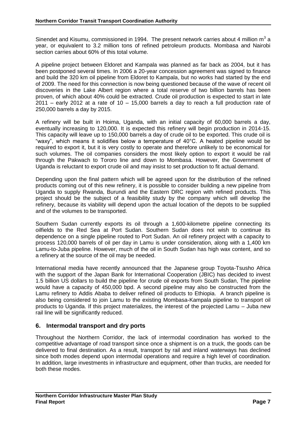Sinendet and Kisumu, commissioned in 1994. The present network carries about 4 million  $m^3$  a year, or equivalent to 3.2 million tons of refined petroleum products. Mombasa and Nairobi section carries about 60% of this total volume.

A pipeline project between Eldoret and Kampala was planned as far back as 2004, but it has been postponed several times. In 2006 a 20-year concession agreement was signed to finance and build the 320 km oil pipeline from Eldoret to Kampala, but no works had started by the end of 2009. The need for this connection is now being questioned because of the wave of recent oil discoveries in the Lake Albert region where a total reserve of two billion barrels has been proven, of which about 40% could be extracted. Crude oil production is expected to start in late  $2011$  – early 2012 at a rate of 10 – 15,000 barrels a day to reach a full production rate of 250,000 barrels a day by 2015.

A refinery will be built in Hoima, Uganda, with an initial capacity of 60,000 barrels a day, eventually increasing to 120,000. It is expected this refinery will begin production in 2014-15. This capacity will leave up to 150,000 barrels a day of crude oil to be exported. This crude oil is "waxy", which means it solidifies below a temperature of 40°C. A heated pipeline would be required to export it, but it is very costly to operate and therefore unlikely to be economical for such volumes. The oil companies considers the most likely option to export it would be rail through the Pakwach to Tororo line and down to Mombasa. However, the Government of Uganda is reluctant to export crude oil and may insist to set production to fit actual demand.

Depending upon the final pattern which will be agreed upon for the distribution of the refined products coming out of this new refinery, it is possible to consider building a new pipeline from Uganda to supply Rwanda, Burundi and the Eastern DRC region with refined products. This project should be the subject of a feasibility study by the company which will develop the refinery, because its viability will depend upon the actual location of the depots to be supplied and of the volumes to be transported.

Southern Sudan currently exports its oil through a 1,600-kilometre pipeline connecting its oilfields to the Red Sea at Port Sudan. Southern Sudan does not wish to continue its dependence on a single pipeline routed to Port Sudan. An oil refinery project with a capacity to process 120,000 barrels of oil per day in Lamu is under consideration, along with a 1,400 km Lamu-to-Juba pipeline. However, much of the oil in South Sudan has high wax content, and so a refinery at the source of the oil may be needed.

International media have recently announced that the Japanese group Toyota-Tsusho Africa with the support of the Japan Bank for International Cooperation (JBIC) has decided to invest 1.5 billion US dollars to build the pipeline for crude oil exports from South Sudan, The pipeline would have a capacity of 450,000 bpd. A second pipeline may also be constructed from the Lamu refinery to Addis Ababa to deliver refined oil products to Ethiopia. A branch pipeline is also being considered to join Lamu to the existing Mombasa-Kampala pipeline to transport oil products to Uganda. If this project materializes, the interest of the projected Lamu – Juba new rail line will be significantly reduced.

#### **6. Intermodal transport and dry ports**

Throughout the Northern Corridor, the lack of intermodal coordination has worked to the competitive advantage of road transport since once a shipment is on a truck, the goods can be delivered to final destination. As a result, transport by rail and inland waterways has declined since both modes depend upon intermodal operations and require a high level of coordination. In addition, large investments in infrastructure and equipment, other than trucks, are needed for both these modes.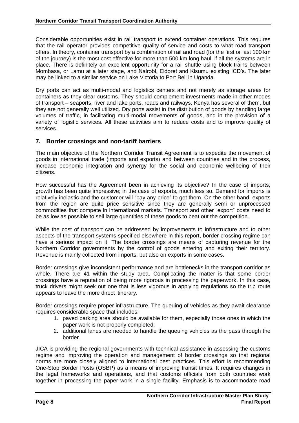Considerable opportunities exist in rail transport to extend container operations. This requires that the rail operator provides competitive quality of service and costs to what road transport offers. In theory, container transport by a combination of rail and road (for the first or last 100 km of the journey) is the most cost effective for more than 500 km long haul, if all the systems are in place. There is definitely an excellent opportunity for a rail shuttle using block trains between Mombasa, or Lamu at a later stage, and Nairobi, Eldoret and Kisumu existing ICD's. The later may be linked to a similar service on Lake Victoria to Port Bell in Uganda.

Dry ports can act as multi-modal and logistics centers and not merely as storage areas for containers as they clear customs. They should complement investments made in other modes of transport – seaports, river and lake ports, roads and railways. Kenya has several of them, but they are not generally well utilized. Dry ports assist in the distribution of goods by handling large volumes of traffic, in facilitating multi-modal movements of goods, and in the provision of a variety of logistic services. All these activities aim to reduce costs and to improve quality of services.

#### **7. Border crossings and non-tariff barriers**

The main objective of the Northern Corridor Transit Agreement is to expedite the movement of goods in international trade (imports and exports) and between countries and in the process, increase economic integration and synergy for the social and economic wellbeing of their citizens.

How successful has the Agreement been in achieving its objective? In the case of imports, growth has been quite impressive; in the case of exports, much less so. Demand for imports is relatively inelastic and the customer will "pay any price" to get them. On the other hand, exports from the region are quite price sensitive since they are generally semi or unprocessed commodities that compete in international markets. Transport and other "export" costs need to be as low as possible to sell large quantities of these goods to beat out the competition.

While the cost of transport can be addressed by improvements to infrastructure and to other aspects of the transport systems specified elsewhere in this report, border crossing regime can have a serious impact on it. The border crossings are means of capturing revenue for the Northern Corridor governments by the control of goods entering and exiting their territory. Revenue is mainly collected from imports, but also on exports in some cases.

Border crossings give inconsistent performance and are bottlenecks in the transport corridor as whole. There are 41 within the study area. Complicating the matter is that some border crossings have a reputation of being more rigorous in processing the paperwork. In this case, truck drivers might seek out one that is less vigorous in applying regulations so the trip route appears to leave the more direct itinerary.

Border crossings require proper infrastructure. The queuing of vehicles as they await clearance requires considerable space that includes:

- 1. paved parking area should be available for them, especially those ones in which the paper work is not properly completed;
- 2. additional lanes are needed to handle the queuing vehicles as the pass through the border.

JICA is providing the regional governments with technical assistance in assessing the customs regime and improving the operation and management of border crossings so that regional norms are more closely aligned to international best practices. This effort is recommending One-Stop Border Posts (OSBP) as a means of improving transit times. It requires changes in the legal frameworks and operations, and that customs officials from both countries work together in processing the paper work in a single facility. Emphasis is to accommodate road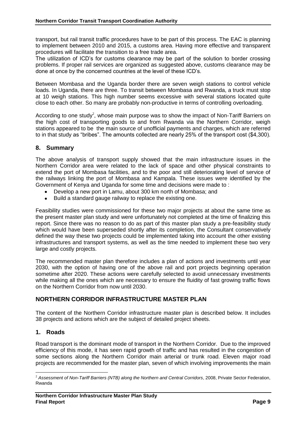transport, but rail transit traffic procedures have to be part of this process. The EAC is planning to implement between 2010 and 2015, a customs area. Having more effective and transparent procedures will facilitate the transition to a free trade area.

The utilization of ICD's for customs clearance may be part of the solution to border crossing problems. If proper rail services are organized as suggested above, customs clearance may be done at once by the concerned countries at the level of these ICD's.

Between Mombasa and the Uganda border there are seven weigh stations to control vehicle loads. In Uganda, there are three. To transit between Mombasa and Rwanda, a truck must stop at 10 weigh stations. This high number seems excessive with several stations located quite close to each other. So many are probably non-productive in terms of controlling overloading.

According to one study<sup>2</sup>, whose main purpose was to show the impact of Non-Tariff Barriers on the high cost of transporting goods to and from Rwanda via the Northern Corridor, weigh stations appeared to be the main source of unofficial payments and charges, which are referred to in that study as "bribes". The amounts collected are nearly 25% of the transport cost (\$4,300).

#### **8. Summary**

The above analysis of transport supply showed that the main infrastructure issues in the Northern Corridor area were related to the lack of space and other physical constraints to extend the port of Mombasa facilities, and to the poor and still deteriorating level of service of the railways linking the port of Mombasa and Kampala. These issues were identified by the Government of Kenya and Uganda for some time and decisions were made to :

- Develop a new port in Lamu, about 300 km north of Mombasa; and
- Build a standard gauge railway to replace the existing one.

Feasibility studies were commissioned for these two major projects at about the same time as the present master plan study and were unfortunately not completed at the time of finalizing this report. Since there was no reason to do as part of this master plan study a pre-feasibility study which would have been superseded shortly after its completion, the Consultant conservatively defined the way these two projects could be implemented taking into account the other existing infrastructures and transport systems, as well as the time needed to implement these two very large and costly projects.

The recommended master plan therefore includes a plan of actions and investments until year 2030, with the option of having one of the above rail and port projects beginning operation sometime after 2020. These actions were carefully selected to avoid unnecessary investments while making all the ones which are necessary to ensure the fluidity of fast growing traffic flows on the Northern Corridor from now until 2030.

#### **NORTHERN CORRIDOR INFRASTRUCTURE MASTER PLAN**

The content of the Northern Corridor infrastructure master plan is described below. It includes 38 projects and actions which are the subject of detailed project sheets.

#### **1. Roads**

Road transport is the dominant mode of transport in the Northern Corridor. Due to the improved efficiency of this mode, it has seen rapid growth of traffic and has resulted in the congestion of some sections along the Northern Corridor main arterial or trunk road. Eleven major road projects are recommended for the master plan, seven of which involving improvements the main

 $\overline{a}$ <sup>2</sup> Assessment of Non-Tariff Barriers (NTB) along the Northern and Central Corridors, 2008, Private Sector Federation, Rwanda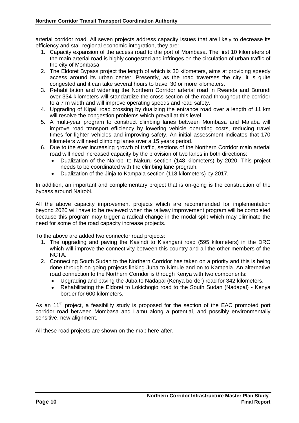arterial corridor road. All seven projects address capacity issues that are likely to decrease its efficiency and stall regional economic integration, they are:

- 1. Capacity expansion of the access road to the port of Mombasa. The first 10 kilometers of the main arterial road is highly congested and infringes on the circulation of urban traffic of the city of Mombasa.
- 2. The Eldoret Bypass project the length of which is 30 kilometers, aims at providing speedy access around its urban center. Presently, as the road traverses the city, it is quite congested and it can take several hours to travel 30 or more kilometers.
- 3. Rehabilitation and widening the Northern Corridor arterial road in Rwanda and Burundi over 334 kilometers will standardize the cross section of the road throughout the corridor to a 7 m width and will improve operating speeds and road safety.
- 4. Upgrading of Kigali road crossing by dualizing the entrance road over a length of 11 km will resolve the congestion problems which prevail at this level.
- 5. A multi-year program to construct climbing lanes between Mombasa and Malaba will improve road transport efficiency by lowering vehicle operating costs, reducing travel times for lighter vehicles and improving safety. An initial assessment indicates that 170 kilometers will need climbing lanes over a 15 years period.
- 6. Due to the ever increasing growth of traffic, sections of the Northern Corridor main arterial road will need increased capacity by the provision of two lanes in both directions:
	- Dualization of the Nairobi to Nakuru section (148 kilometers) by 2020. This project needs to be coordinated with the climbing lane program.
	- Dualization of the Jinja to Kampala section (118 kilometers) by 2017.

In addition, an important and complementary project that is on-going is the construction of the bypass around Nairobi.

All the above capacity improvement projects which are recommended for implementation beyond 2020 will have to be reviewed when the railway improvement program will be completed because this program may trigger a radical change in the modal split which may eliminate the need for some of the road capacity increase projects.

To the above are added two connector road projects:

- 1. The upgrading and paving the Kasindi to Kisangani road (595 kilometers) in the DRC which will improve the connectivity between this country and all the other members of the NCTA.
- 2. Connecting South Sudan to the Northern Corridor has taken on a priority and this is being done through on-going projects linking Juba to Nimule and on to Kampala. An alternative road connection to the Northern Corridor is through Kenya with two components:
	- Upgrading and paving the Juba to Nadapal (Kenya border) road for 342 kilometers.  $\bullet$
	- Rehabilitating the Eldoret to Lokichogio road to the South Sudan (Nadapal) Kenya border for 600 kilometers.

As an 11<sup>th</sup> project, a feasibility study is proposed for the section of the EAC promoted port corridor road between Mombasa and Lamu along a potential, and possibly environmentally sensitive, new alignment.

All these road projects are shown on the map here-after.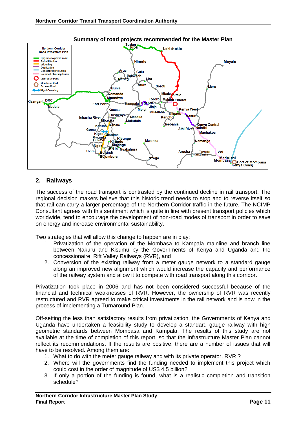

#### **Summary of road projects recommended for the Master Plan**

#### **2. Railways**

The success of the road transport is contrasted by the continued decline in rail transport. The regional decision makers believe that this historic trend needs to stop and to reverse itself so that rail can carry a larger percentage of the Northern Corridor traffic in the future. The NCIMP Consultant agrees with this sentiment which is quite in line with present transport policies which worldwide, tend to encourage the development of non-road modes of transport in order to save on energy and increase environmental sustainability.

Two strategies that will allow this change to happen are in play:

- 1. Privatization of the operation of the Mombasa to Kampala mainline and branch line between Nakuru and Kisumu by the Governments of Kenya and Uganda and the concessionaire, Rift Valley Railways (RVR), and
- 2. Conversion of the existing railway from a meter gauge network to a standard gauge along an improved new alignment which would increase the capacity and performance of the railway system and allow it to compete with road transport along this corridor.

Privatization took place in 2006 and has not been considered successful because of the financial and technical weaknesses of RVR. However, the ownership of RVR was recently restructured and RVR agreed to make critical investments in the rail network and is now in the process of implementing a Turnaround Plan.

Off-setting the less than satisfactory results from privatization, the Governments of Kenya and Uganda have undertaken a feasibility study to develop a standard gauge railway with high geometric standards between Mombasa and Kampala. The results of this study are not available at the time of completion of this report, so that the Infrastructure Master Plan cannot reflect its recommendations. If the results are positive, there are a number of issues that will have to be resolved. Among them are:

- 1. What to do with the meter gauge railway and with its private operator, RVR ?
- 2. Where will the governments find the funding needed to implement this project which could cost in the order of magnitude of US\$ 4.5 billion?
- 3. If only a portion of the funding is found, what is a realistic completion and transition schedule?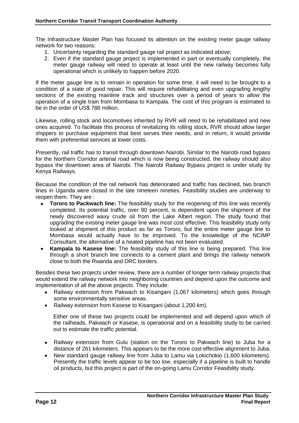The Infrastructure Master Plan has focused its attention on the existing meter gauge railway network for two reasons:

- 1. Uncertainty regarding the standard gauge rail project as indicated above;
- 2. Even if the standard gauge project is implemented in part or eventually completely, the meter gauge railway will need to operate at least until the new railway becomes fully operational which is unlikely to happen before 2020.

If the meter gauge line is to remain in operation for some time, it will need to be brought to a condition of a state of good repair. This will require rehabilitating and even upgrading lengthy sections of the existing mainline track and structures over a period of years to allow the operation of a single train from Mombasa to Kampala. The cost of this program is estimated to be in the order of US\$ 788 million.

Likewise, rolling stock and locomotives inherited by RVR will need to be rehabilitated and new ones acquired. To facilitate this process of revitalizing its rolling stock, RVR should allow larger shippers to purchase equipment that best serves their needs, and in return, it would provide them with preferential services at lower costs.

Presently, rail traffic has to transit through downtown Nairobi. Similar to the Nairobi road bypass for the Northern Corridor arterial road which is now being constructed, the railway should also bypass the downtown area of Nairobi. The Nairobi Railway Bypass project is under study by Kenya Railways.

Because the condition of the rail network has deteriorated and traffic has declined, two branch lines in Uganda were closed in the late nineteen nineties. Feasibility studies are underway to reopen them. They are :

- **Tororo to Packwach line:** The feasibility study for the reopening of this line was recently completed. Its potential traffic, over 90 percent, is dependent upon the shipment of the newly discovered waxy crude oil from the Lake Albert region. The study found that upgrading the existing meter gauge line was most cost effective. This feasibility study only looked at shipment of this product as far as Tororo, but the entire meter gauge line to Mombasa would actually have to be improved. To the knowledge of the NCIMP Consultant, the alternative of a heated pipeline has not been evaluated.
- **Kampala to Kasese line:** The feasibility study of this line is being prepared. This line through a short branch line connects to a cement plant and brings the railway network close to both the Rwanda and DRC borders.

Besides these two projects under review, there are a number of longer term railway projects that would extend the railway network into neighboring countries and depend upon the outcome and implementation of all the above projects. They include:

- Railway extension from Pakwach to Kisangani (1,067 kilometers) which goes through some environmentally sensitive areas.
- Railway extension from Kasese to Kisangani (about 1,200 km).

Either one of these two projects could be implemented and will depend upon which of the railheads, Pakwach or Kasese, is operational and on a feasibility study to be carried out to estimate the traffic potential.

- Railway extension from Gulu (station on the Tororo to Pakwach line) to Juba for a distance of 261 kilometers. This appears to be the more cost effective alignment to Juba.
- New standard gauge railway line from Juba to Lamu via Lokichokio (1,600 kilometers). Presently the traffic levels appear to be too low, especially if a pipeline is built to handle oil products, but this project is part of the on-going Lamu Corridor Feasibility study.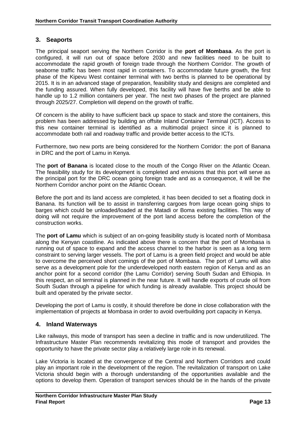#### **3. Seaports**

The principal seaport serving the Northern Corridor is the **port of Mombasa**. As the port is configured, it will run out of space before 2030 and new facilities need to be built to accommodate the rapid growth of foreign trade through the Northern Corridor. The growth of seaborne traffic has been most rapid in containers. To accommodate future growth, the first phase of the Kipevu West container terminal with two berths is planned to be operational by 2015. It is in an advanced stage of preparation, feasibility study and designs are completed and the funding assured. When fully developed, this facility will have five berths and be able to handle up to 1.2 million containers per year. The next two phases of the project are planned through 2025/27. Completion will depend on the growth of traffic.

Of concern is the ability to have sufficient back up space to stack and store the containers, this problem has been addressed by building an offsite Inland Container Terminal (ICT). Access to this new container terminal is identified as a multimodal project since it is planned to accommodate both rail and roadway traffic and provide better access to the ICTs.

Furthermore, two new ports are being considered for the Northern Corridor: the port of Banana in DRC and the port of Lamu in Kenya.

The **port of Banana** is located close to the mouth of the Congo River on the Atlantic Ocean. The feasibility study for its development is completed and envisions that this port will serve as the principal port for the DRC ocean going foreign trade and as a consequence, it will be the Northern Corridor anchor point on the Atlantic Ocean.

Before the port and its land access are completed, it has been decided to set a floating dock in Banana. Its function will be to assist in transferring cargoes from large ocean going ships to barges which could be unloaded/loaded at the Matadi or Boma existing facilities. This way of doing will not require the improvement of the port land access before the completion of the construction works.

The **port of Lamu** which is subject of an on-going feasibility study is located north of Mombasa along the Kenyan coastline. As indicated above there is concern that the port of Mombasa is running out of space to expand and the access channel to the harbor is seen as a long term constraint to serving larger vessels. The port of Lamu is a green field project and would be able to overcome the perceived short comings of the port of Mombasa. The port of Lamu will also serve as a development pole for the underdeveloped north eastern region of Kenya and as an anchor point for a second corridor (the Lamu Corridor) serving South Sudan and Ethiopia. In this respect, an oil terminal is planned in the near future. It will handle exports of crude oil from South Sudan through a pipeline for which funding is already available. This project should be built and operated by the private sector.

Developing the port of Lamu is costly, it should therefore be done in close collaboration with the implementation of projects at Mombasa in order to avoid overbuilding port capacity in Kenya.

#### **4. Inland Waterways**

Like railways, this mode of transport has seen a decline in traffic and is now underutilized. The Infrastructure Master Plan recommends revitalizing this mode of transport and provides the opportunity to have the private sector play a relatively large role in its renewal.

Lake Victoria is located at the convergence of the Central and Northern Corridors and could play an important role in the development of the region. The revitalization of transport on Lake Victoria should begin with a thorough understanding of the opportunities available and the options to develop them. Operation of transport services should be in the hands of the private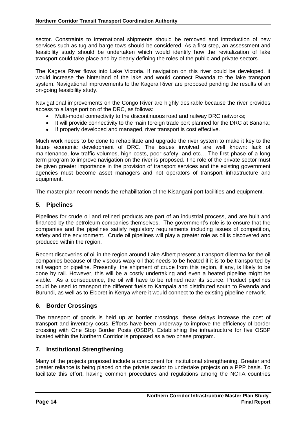sector. Constraints to international shipments should be removed and introduction of new services such as tug and barge tows should be considered. As a first step, an assessment and feasibility study should be undertaken which would identify how the revitalization of lake transport could take place and by clearly defining the roles of the public and private sectors.

The Kagera River flows into Lake Victoria. If navigation on this river could be developed, it would increase the hinterland of the lake and would connect Rwanda to the lake transport system. Navigational improvements to the Kagera River are proposed pending the results of an on-going feasibility study.

Navigational improvements on the Congo River are highly desirable because the river provides access to a large portion of the DRC, as follows:

- Multi-modal connectivity to the discontinuous road and railway DRC networks;  $\bullet$
- It will provide connectivity to the main foreign trade port planned for the DRC at Banana;
- If properly developed and managed, river transport is cost effective.

Much work needs to be done to rehabilitate and upgrade the river system to make it key to the future economic development of DRC. The issues involved are well known: lack of maintenance, low traffic volumes, high costs, poor safety, and etc… The first phase of a long term program to improve navigation on the river is proposed. The role of the private sector must be given greater importance in the provision of transport services and the existing government agencies must become asset managers and not operators of transport infrastructure and equipment.

The master plan recommends the rehabilitation of the Kisangani port facilities and equipment.

#### **5. Pipelines**

Pipelines for crude oil and refined products are part of an industrial process, and are built and financed by the petroleum companies themselves. The government's role is to ensure that the companies and the pipelines satisfy regulatory requirements including issues of competition, safety and the environment. Crude oil pipelines will play a greater role as oil is discovered and produced within the region.

Recent discoveries of oil in the region around Lake Albert present a transport dilemma for the oil companies because of the viscous waxy oil that needs to be heated if it is to be transported by rail wagon or pipeline. Presently, the shipment of crude from this region, if any, is likely to be done by rail. However, this will be a costly undertaking and even a heated pipeline might be viable. As a consequence, the oil will have to be refined near its source. Product pipelines could be used to transport the different fuels to Kampala and distributed south to Rwanda and Burundi, as well as to Eldoret in Kenya where it would connect to the existing pipeline network.

#### **6. Border Crossings**

The transport of goods is held up at border crossings, these delays increase the cost of transport and inventory costs. Efforts have been underway to improve the efficiency of border crossing with One Stop Border Posts (OSBP). Establishing the infrastructure for five OSBP located within the Northern Corridor is proposed as a two phase program.

#### **7. Institutional Strengthening**

Many of the projects proposed include a component for institutional strengthening. Greater and greater reliance is being placed on the private sector to undertake projects on a PPP basis. To facilitate this effort, having common procedures and regulations among the NCTA countries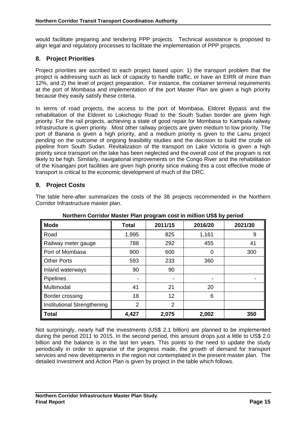would facilitate preparing and tendering PPP projects. Technical assistance is proposed to align legal and regulatory processes to facilitate the implementation of PPP projects.

#### **8. Project Priorities**

Project priorities are ascribed to each project based upon: 1) the transport problem that the project is addressing such as lack of capacity to handle traffic, or have an EIRR of more than 12%, and 2) the level of project preparation. For instance, the container terminal requirements at the port of Mombasa and implementation of the port Master Plan are given a high priority because they easily satisfy these criteria.

In terms of road projects, the access to the port of Mombasa, Eldoret Bypass and the rehabilitation of the Eldoret to Lokichogio Road to the South Sudan border are given high priority. For the rail projects, achieving a state of good repair for Mombasa to Kampala railway infrastructure is given priority. Most other railway projects are given medium to low priority. The port of Banana is given a high priority, and a medium priority is given to the Lamu project pending on the outcome of ongoing feasibility studies and the decision to build the crude oil pipeline from South Sudan. Revitalization of the transport on Lake Victoria is given a high priority since transport on the lake has been neglected and the overall cost of the program is not likely to be high. Similarly, navigational improvements on the Congo River and the rehabilitation of the Kisangani port facilities are given high priority since making this a cost effective mode of transport is critical to the economic development of much of the DRC.

#### **9. Project Costs**

The table here-after summarizes the costs of the 38 projects recommended in the Northern Corridor Infrastructure master plan.

| <b>Mode</b>                 | <b>Total</b>   | 2011/15        | 2016/20 | 2021/30 |  |  |  |  |  |  |  |
|-----------------------------|----------------|----------------|---------|---------|--|--|--|--|--|--|--|
| Road                        | 1,995          | 825            | 1,161   | 9       |  |  |  |  |  |  |  |
| Railway meter gauge         | 788            | 292            | 455     | 41      |  |  |  |  |  |  |  |
| Port of Mombasa             | 900            | 600            | 0       | 300     |  |  |  |  |  |  |  |
| <b>Other Ports</b>          | 593            | 233            | 360     |         |  |  |  |  |  |  |  |
| Inland waterways            | 90             | 90             |         |         |  |  |  |  |  |  |  |
| <b>Pipelines</b>            | ۰              |                |         |         |  |  |  |  |  |  |  |
| Multimodal                  | 41             | 21             | 20      |         |  |  |  |  |  |  |  |
| Border crossing             | 18             | 12             | 6       |         |  |  |  |  |  |  |  |
| Institutional Strengthening | $\overline{2}$ | $\overline{2}$ |         |         |  |  |  |  |  |  |  |
| <b>Total</b>                | 4,427          | 2,075          | 2,002   | 350     |  |  |  |  |  |  |  |

**Northern Corridor Master Plan program cost in million US\$ by period**

Not surprisingly, nearly half the investments (US\$ 2.1 billion) are planned to be implemented during the period 2011 to 2015. In the second period, this amount drops just a little to US\$ 2.0 billion and the balance is in the last ten years. This points to the need to update the study periodically in order to appraise of the progress made, the growth of demand for transport services and new developments in the region not contemplated in the present master plan. The detailed Investment and Action Plan is given by project in the table which follows.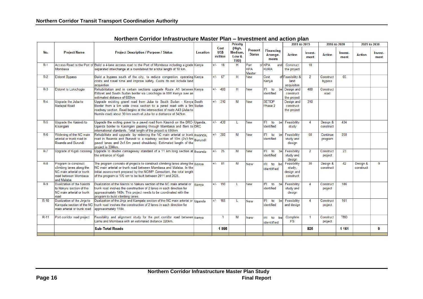|        |                                                                                                                      |                                                                                                                                                                                                                                                                                           |          |                         | <b>Priority</b>                    |                                 |                                       | 2011 to 2015                                     |                 | 2016 to 2020          |                 |                       | 2021 to 2030    |
|--------|----------------------------------------------------------------------------------------------------------------------|-------------------------------------------------------------------------------------------------------------------------------------------------------------------------------------------------------------------------------------------------------------------------------------------|----------|-------------------------|------------------------------------|---------------------------------|---------------------------------------|--------------------------------------------------|-----------------|-----------------------|-----------------|-----------------------|-----------------|
| No.    | <b>Project Name</b>                                                                                                  | <b>Project Description / Purpose / Status</b>                                                                                                                                                                                                                                             | Location | Cost<br>US\$<br>million | (High,<br>Medium.<br>Low &<br>TBD) | <b>Present</b><br><b>Status</b> | <b>Financing</b><br>Arrange-<br>ments | <b>Action</b>                                    | Invest-<br>ment | <b>Action</b>         | Invest-<br>ment | <b>Action</b>         | Invest-<br>ment |
| $R-1$  |                                                                                                                      | Access Road to the Port of Build a 4-lane access road to the Port of Mombasa including a grade Kenya                                                                                                                                                                                      |          | $+/-$ 18                | н                                  | Part                            | of KPA<br>and                         | Construct                                        | 18              |                       |                 |                       |                 |
|        | Mombasa                                                                                                              | separated interchange at a roundabout for a total length of 10 km.                                                                                                                                                                                                                        |          |                         |                                    | <b>KPA</b><br><b>Master</b>     | <b>KURA</b>                           | the project                                      |                 |                       |                 |                       |                 |
| $R-2$  | <b>Eldoret Bypass</b>                                                                                                | Build a bypass south of the city, to reduce congestion, operating Kenya<br>costs and travel time and improve safety. Costs do not include land<br>acquistion                                                                                                                              |          | $+/-$ 67                | н                                  | <b>New</b>                      | Govt<br>Kenya                         | of Feasibility &<br>land<br>acquisiton           | $\overline{2}$  | Construct<br>bypass   | 65              |                       |                 |
| $R-3$  | Eldoret to Lokichogio                                                                                                | Rehabilitation and in certain sections upgrade Route A1 between Kenya<br>Eldoret and South Sudan border via Lokichogio in NW Kenya over an<br>estimated distance of 600km                                                                                                                 |          | $+/-$ 400               | н                                  | <b>New</b>                      | IFI to<br>be<br>identified            | Design and<br>construct<br>the project           | 400             | Construct<br>road     |                 |                       |                 |
| $R-4$  | Upgrade the Juba to<br>Nadapal Road                                                                                  | Upgrade existing gravel road from Juba to South Sudan - Kenya South<br>Border from a 6m wide cross section to a paved road with a 9m Sudan<br>roadway section. Road begins at the intersection of route A43 (Juba to<br>Numile road) about 30 km south of Juba for a disttance of 342km   |          | $+/-$ 310               | M                                  | <b>New</b>                      | <b>SETIDP</b><br>Phase 2              | Design and<br>construct<br>the project           | 310             |                       |                 |                       |                 |
| $R-5$  | Upgrade the Kasindi to<br>Kisangani                                                                                  | Upgrade the exiting gravel to a paved road from Kasindi on the DRC-Uganda,<br>Uganda border to Kasingani passing through Mambasa and Beni to DRC<br>international standards. Total length of the project is 595km.                                                                        |          | $+/-$<br>438            | т.                                 | <b>New</b>                      | <b>IFI</b><br>to<br>be<br>identified  | Feasibility<br>studv                             | 4               | Design &<br>construct | 434             |                       |                 |
| $R-6$  | Widening of the NC main<br>arterial or trunk road in<br>Rwanda and Burundi                                           | Rehabilitate and upgrade by widening the NC main arterial or trunk Rwanda.<br>road in Rwanda and Burundi to a roadway section of 10m (2x3.5m Burundi<br>paved lanes and 2x1.5m paved shoulders). Estimated length of the<br>project is 334km.                                             |          | 300<br>$+/-$            | M                                  | <b>New</b>                      | $IFI$ to<br>be<br>identified          | Feasibility<br>study and<br>design               | 50              | Continue<br>program   | 250             |                       |                 |
| $R-7$  | Upgrade of Kigali crossing                                                                                           | Upgrade to double carriageway standard of a 11 km long section at Rwanda<br>the entrance of Kigali                                                                                                                                                                                        |          | $+/-$<br>-25            | M                                  | <b>New</b>                      | $IFI$ to<br>be<br>identified          | Feasibility<br>study and<br>design               | $\overline{2}$  | Construct<br>project  | 23              |                       |                 |
| $R-8$  | Program to construct<br>climbing lanes along the<br>NC main arterial or trunk<br>road between Mombasa<br>and Malaba. | The program consists of projects to construct climbing lanes along the Kenya<br>NC main arterial or trunk road between Mombasa and Malaba. In the<br>initial assessment prepared by the NCIMP Consultant, the total length<br>of the program is 170 km to be built between 2011 and 2025. |          | 81<br>$+/-$             | M                                  | <b>New</b>                      | IFI to<br>be<br>identified            | Feasibility<br>study,<br>design and<br>construct | 30              | Design &<br>construct | 42              | Design &<br>construct | 9               |
| $R-9$  | Dualization of the Nairobi<br>to Nakuru section of the<br>NC main arterial or trunk<br>road                          | Dualization of the Nairobi to Nakuru section of the NC main arterial or<br>trunk road involves the construction of 2 lanes in each direction for<br>approaximately 148k. This project needs to be coordinated with the<br>program to build climbing lanes.                                | Kenya    | 190<br>$+/-$            | $\mathbf{I}$                       | <b>New</b>                      | IFI to<br>be<br>identified            | Feasibility<br>study and<br>design               | 4               | Construct<br>project  | 186             |                       |                 |
| $R-10$ | Dualization of the Jinja to<br>Kampala section of the NC<br>main arterial or trunk road                              | Dualization of the Jinja and Kampala section of the NC main arterial or Uganda<br>trunk road involves the construction of 2 lanes in each direction for<br>approaximately 118k.                                                                                                           |          | $+/-$ 165               | $\mathbf{I}$                       | <b>New</b>                      | IFI to<br>be<br>identified            | Feasibility<br>and design                        | 4               | Construct<br>project  | 161             |                       |                 |
| $R-11$ | Port corridor road project                                                                                           | Feasibility and alignment study for the port corridor road between Kenya<br>Lamu and Mombasa with an estimated distance 320km.                                                                                                                                                            |          | -1                      | M                                  | <b>New</b>                      | IFI to<br>be<br>identified            | Complete<br><b>FS</b>                            | -1              | Construct<br>project  | <b>TBD</b>      |                       |                 |
|        |                                                                                                                      | <b>Sub-Total Roads</b>                                                                                                                                                                                                                                                                    |          | 1995                    |                                    |                                 |                                       |                                                  | 825             |                       | 1 1 6 1         |                       | 9               |
|        |                                                                                                                      |                                                                                                                                                                                                                                                                                           |          |                         |                                    |                                 |                                       |                                                  |                 |                       |                 |                       |                 |

#### **Northern Corridor Infrastructure Master Plan – Investment and action plan**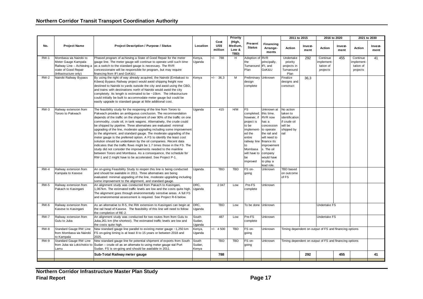#### **Northern Corridor Transit Transport Coordination Authority**

|             |                                                                                                                              |                                                                                                                                                                                                                                                                                                                                                                                                                                                                                                                                                                                                                                                                                                                                                                                                                                                                                                                                    |                           |                         | <b>Priority</b>                    |                                                                                                                                                                                |                                                                                                                                                                                           | 2011 to 2015                                                                             |                                                        | 2016 to 2020                                   |                 |                                               | 2021 to 2030    |
|-------------|------------------------------------------------------------------------------------------------------------------------------|------------------------------------------------------------------------------------------------------------------------------------------------------------------------------------------------------------------------------------------------------------------------------------------------------------------------------------------------------------------------------------------------------------------------------------------------------------------------------------------------------------------------------------------------------------------------------------------------------------------------------------------------------------------------------------------------------------------------------------------------------------------------------------------------------------------------------------------------------------------------------------------------------------------------------------|---------------------------|-------------------------|------------------------------------|--------------------------------------------------------------------------------------------------------------------------------------------------------------------------------|-------------------------------------------------------------------------------------------------------------------------------------------------------------------------------------------|------------------------------------------------------------------------------------------|--------------------------------------------------------|------------------------------------------------|-----------------|-----------------------------------------------|-----------------|
| No.         | <b>Project Name</b>                                                                                                          | <b>Project Description / Purpose / Status</b>                                                                                                                                                                                                                                                                                                                                                                                                                                                                                                                                                                                                                                                                                                                                                                                                                                                                                      | Location                  | Cost<br>US\$<br>million | (High,<br>Medium,<br>Low &<br>TBD) | Present<br><b>Status</b>                                                                                                                                                       | Financing<br>Arrange-<br>ments                                                                                                                                                            | Action                                                                                   | Invest-<br>ment                                        | Action                                         | Invest-<br>ment | Action                                        | Invest-<br>ment |
| <b>RW-1</b> | Mombasa via Nairobi to<br>Meter Gauge Kampala<br>Railway Line - Achieving a<br>state of Good Repair<br>(Infrastructure only) | Phased program of achieving a State of Good Repair for the meter<br>gauge line. The meter gauge will continue to operate until such time<br>as a switch to the standard gauge is necessary. The RVR<br>concessionaire will be responsible for program, but may require<br>financing from IFI and GoK&U.                                                                                                                                                                                                                                                                                                                                                                                                                                                                                                                                                                                                                            | Kenya,<br>Uganda          | $+/-$ 788               | H                                  | Adoption of RVR<br>the<br>Turnaround IFI, and<br>Plan                                                                                                                          | principally,<br>GoK&U                                                                                                                                                                     | Undertake<br>priority<br>projects in<br>Turnaround<br>Plan                               | 292                                                    | Continue<br>mplement-<br>tation of<br>projects | 455             | Continue<br>mplement<br>tation of<br>projects | 41              |
| <b>RW-2</b> | Nairobi Railway Bypass                                                                                                       | By using the right of way already acquired, the Nairobi (Embakasi to<br>Kibera) Bypass Railway project would avoid shipping freight now<br>destined to Nairobi to yards outside the city and avoid using the CBD,<br>and trains with destinations north of Nairobi would avoid the city<br>completely. Its length is estimated to be ~15km. The infrastructure<br>could initially be built to accommodate meter gauge but could be<br>easily upgrade to standard gauge at little additional cost.                                                                                                                                                                                                                                                                                                                                                                                                                                  | Kenya                     | $+/-$<br>36,3           | M                                  | Preliminary<br>design<br>complete                                                                                                                                              | Unknown                                                                                                                                                                                   | Finalize<br>designs and<br>construct                                                     | 36,3                                                   |                                                |                 |                                               |                 |
| $RW-3$      | Railway extension from<br>Tororo to Pakwach                                                                                  | The feasibility study for the reopening of the line from Tororo to<br>Pakwach provides an ambiguous conclusion. The recommendation<br>depends of the traffic on the shipment of over 90% of the traffic on one<br>commodity, crude oil, in tank wagons. Alternatively, the crude could<br>be shipped by pipeline. Three alternatives are evaluated: minimal<br>upgrading of the line, moderate upgrading including some improvement<br>to the alignment, and standard gauge. The moderate upgrading of the<br>meter gauge is the preferred option. A FS to identify the least cost<br>solution should be undertaken by the oil companies. Recent data<br>indicates that the traffic flows might be 1.7 times those in the FS. The<br>study did not consider the improvements needed to the mainline<br>between Tororo and Mombasa. As a consequence, the schedule for<br>RW-1 and 2 might have to be accelerated. See Project P-1. | Uganda                    | 415                     | H/M                                | <b>FS</b><br>completed;<br>however, if<br>project is<br>to be<br>implement-<br>ed the<br>entire<br>railway line finance its<br>to<br>Mombasa<br>will have to<br>be<br>improved | Unknown at<br>this time.<br>RVR now<br>has a<br>concession<br>to operate<br>the rail and<br>will need to<br>improvement<br>s. The oil<br>company<br>would have<br>to play a<br>lead role. | No action<br>taken to<br>identification<br>if crude oil<br>will be<br>shipped by<br>rail |                                                        |                                                |                 |                                               |                 |
| <b>RW-4</b> | Railway extension from<br>Kampala to Kasese                                                                                  | An on-going Feasibility Study to reopen this line is being conducted<br>and should be available in 2011. Three alternatives are being<br>evaluated: minimal upgrading of the line, moderate upgrading including<br>some improvement to the alignment, and standard gauge.                                                                                                                                                                                                                                                                                                                                                                                                                                                                                                                                                                                                                                                          | Uganda                    | <b>TBD</b>              | <b>TBD</b>                         | FS on-<br>qoing                                                                                                                                                                | Unknown                                                                                                                                                                                   | <b>TBD</b> based<br>on outcome<br>of FS                                                  |                                                        |                                                |                 |                                               |                 |
| <b>RW-5</b> | Railway extension from<br>Pakach to Kasingani                                                                                | An alignment study was conducted from Pakach to Kasingani,<br>1,067km. The estimated traffic levels are low and the costs quite high.<br>The alignment goes through environmentally sensitive areas. A full FS<br>and environmental assessment is required. See Project R-6 below.                                                                                                                                                                                                                                                                                                                                                                                                                                                                                                                                                                                                                                                 | DRC,<br>Uganda            | 2 0 4 7                 | Low                                | Pre-FS<br>complete                                                                                                                                                             | Unknown                                                                                                                                                                                   |                                                                                          |                                                        |                                                |                 |                                               |                 |
| <b>RW-6</b> | Railway extension from<br>Kasese to Kasingani                                                                                | As an alternative to R-5, the RW extension to Kasingani can begin at<br>the rail head of Kasese. The feasibility of this line will need to follow<br>the completion of RE-2.                                                                                                                                                                                                                                                                                                                                                                                                                                                                                                                                                                                                                                                                                                                                                       | DRC,<br>Uganda            | <b>TBD</b>              | Low                                | To be done Unknown                                                                                                                                                             |                                                                                                                                                                                           |                                                                                          |                                                        | Undertake FS                                   |                 |                                               |                 |
| <b>RW-7</b> | Railway extension from<br>Gulu to Juba                                                                                       | An alignment study was conducted for two routes from from Gulu to<br>Juba, 261 km (the shortest). The estimated traffic levels are low and<br>the costs quite high.                                                                                                                                                                                                                                                                                                                                                                                                                                                                                                                                                                                                                                                                                                                                                                | South<br>Sudan,<br>Uganda | 487                     | Low                                | Pre-FS<br>complete                                                                                                                                                             | Unknown                                                                                                                                                                                   |                                                                                          |                                                        | Undertake FS                                   |                 |                                               |                 |
| <b>RW-8</b> | Standard Gauge RW Line<br>from Mombasa via Nairobi<br>to Kampala                                                             | New standard gauge line parallel to existing meter gauge ~1,250 km<br>FS on-going timing is at least 8 to 15 years or between 2018 and<br>2025.                                                                                                                                                                                                                                                                                                                                                                                                                                                                                                                                                                                                                                                                                                                                                                                    | Kenya,<br>Uganda          | $+/-$ 4 500             | <b>TBD</b>                         | FS on-<br>going                                                                                                                                                                | Unknown                                                                                                                                                                                   | Timing dependent on output of FS and financing options                                   |                                                        |                                                |                 |                                               |                 |
| <b>RW-9</b> | Standard Gauge RW Line<br>from Juba via Lokichokio to<br>Lamu                                                                | New standard gauge line for potential shipment of exports from South<br>Sudan - crude oil as an alternate to using meter gauge vial Port<br>Sudan. FS is on-going and should be available in 2011.                                                                                                                                                                                                                                                                                                                                                                                                                                                                                                                                                                                                                                                                                                                                 | South<br>Sudan,<br>Kenya  | <b>TBD</b>              | <b>TBD</b>                         | FS on-<br>going                                                                                                                                                                | Unknown                                                                                                                                                                                   |                                                                                          | Timing dependent on output of FS and financing options |                                                |                 |                                               |                 |
|             |                                                                                                                              | Sub-Total Railway meter gauge                                                                                                                                                                                                                                                                                                                                                                                                                                                                                                                                                                                                                                                                                                                                                                                                                                                                                                      |                           | 788                     |                                    |                                                                                                                                                                                |                                                                                                                                                                                           |                                                                                          | 292                                                    |                                                | 455             |                                               | 41              |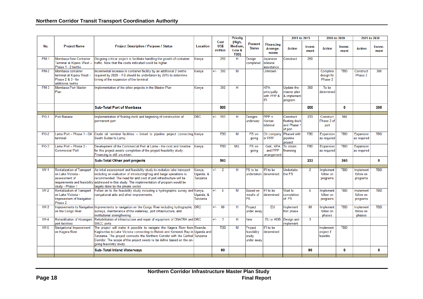#### **Northern Corridor Transit Transport Coordination Authority**

|             |                                                                                                                              |                                                                                                                                                                                                                                                                                                                                                     |                                 |                         | <b>Priority</b>                    |                                               |                                                | 2011 to 2015                                         |                 | 2016 to 2020                        |                 | 2021 to 2030                       |                 |
|-------------|------------------------------------------------------------------------------------------------------------------------------|-----------------------------------------------------------------------------------------------------------------------------------------------------------------------------------------------------------------------------------------------------------------------------------------------------------------------------------------------------|---------------------------------|-------------------------|------------------------------------|-----------------------------------------------|------------------------------------------------|------------------------------------------------------|-----------------|-------------------------------------|-----------------|------------------------------------|-----------------|
| No.         | <b>Project Name</b>                                                                                                          | <b>Project Description / Purpose / Status</b>                                                                                                                                                                                                                                                                                                       | <b>Location</b>                 | Cost<br>US\$<br>million | (High,<br>Medium.<br>Low &<br>TBD) | <b>Present</b><br><b>Status</b>               | <b>Financing</b><br>Arrange-<br>ments          | <b>Action</b>                                        | Invest-<br>ment | <b>Action</b>                       | Invest-<br>ment | <b>Action</b>                      | Invest-<br>ment |
| <b>PM-1</b> | <b>Mombasa New Container</b><br>Terminal at Kipevu West -<br>Phase 1 - 2 berths                                              | On-going critical project to facilitate handling the growth of container<br>traffic. Note that the costs indicated could be higher.                                                                                                                                                                                                                 | Kenya                           | 250                     | H                                  | Design<br>completed                           | Japanese<br>bilateral<br>assistance            | Construct                                            | 250             |                                     |                 |                                    |                 |
| <b>PM-2</b> | Mombasa container<br>terminal at Kipevu West -<br>Phase 2 & 3 - for<br>additional berths                                     | Incremental increase in container facility by an additional 2 berths<br>required by 2020 - FS should be undertaken by 2015 to determine<br>timing of the expansion of the terminal.                                                                                                                                                                 | Kenya                           | $+/-$ 300               | М                                  |                                               | Unknown                                        |                                                      |                 | Complete<br>design for<br>Phase 2   | <b>TBD</b>      | Construct<br>Phase 3               | 300             |
| <b>PM-3</b> | Mombasa Port Master<br>Plan                                                                                                  | Implementation of the other projects in the Master Plan                                                                                                                                                                                                                                                                                             | Kenya                           | 350                     | н                                  |                                               | <b>KPA</b><br>principally<br>with PPP &<br>IFI | Update the<br>master plan<br>& implement<br>program  | 350             | To be<br>determined                 |                 |                                    |                 |
|             |                                                                                                                              | <b>Sub-Total Port of Mombasa</b>                                                                                                                                                                                                                                                                                                                    |                                 | 900                     |                                    |                                               |                                                |                                                      | 600             |                                     | 0               |                                    | 300             |
| <b>PO-1</b> | Port Banana                                                                                                                  | Implementation of floating dock and beginning of construction of<br>permanent port                                                                                                                                                                                                                                                                  | <b>DRC</b>                      | $+/-$<br>593            | н                                  | Designs<br>underway                           | $PPP +$<br>Korean<br>bilateral                 | Construct<br>floating dock<br>and Phase 1<br>of port | 233             | Construct<br>Phase 2 of<br>port     | 360             |                                    |                 |
| $PO-2$      | Lamu Port - Phase 1 - Oil<br>terminal                                                                                        | Crude oil terminal facilities - linked to pipeline project connecting Kenya<br>South Sudan to Lamu.                                                                                                                                                                                                                                                 |                                 | <b>TBD</b>              | M                                  | FS on-<br>going                               | Oil company<br>or PPP                          | Phased with<br>pipeline<br>project                   | <b>TBD</b>      | Expansion<br>as required            | <b>TBD</b>      | Expansion<br>as required           | <b>TBD</b>      |
| <b>PO-3</b> | Lamu Port - Phase 2 -<br><b>Commercial Port</b>                                                                              | Development of the Commercial Port at Lamu - the cost and timeline<br>for this project awaits completion of the project feasibility study.<br>Financing is still uncertain.                                                                                                                                                                         | Kenya                           | <b>TBD</b>              | M/L                                | FS on-<br>going                               | GoK, KPA<br>and PPP<br>arrangement             | To obtain<br>financing                               | <b>TBD</b>      | Expansion<br>as required            | <b>TBD</b>      | Expansion<br>as required           |                 |
|             |                                                                                                                              | <b>Sub-Total Other port projects</b>                                                                                                                                                                                                                                                                                                                |                                 | 593                     |                                    |                                               |                                                |                                                      | 233             |                                     | 360             |                                    | $\mathbf{0}$    |
| $IW-1$      | <b>Revitalization of Transport</b><br>on Lake Victoria -<br>assessment of<br>requirements and feasibility<br>study - Phase 1 | An intial assessment and feasibility study to revitalize lake transport<br>including an evaluation of introductingf tug and barge operations is<br>recommended. The need for and cost of port infrastructure will be<br>addressed in this study. The implementation of program would be<br>largely done by the private sector.                      | Kenya,<br>Uganda, &<br>Tanzania | $+/-$<br>$\overline{2}$ | н                                  | FS to be<br>undertaken                        | IFI to be<br>determined                        | Undertake<br>the FS                                  | $\overline{2}$  | Implement<br>follow on<br>programs  | <b>TBD</b>      | Implement<br>follow on<br>programs | <b>TBD</b>      |
| $IW-2$      | <b>Revitalization of Transport</b><br>on Lake Victoria -<br>Improvement of Navigation<br>Phase 2                             | Follow on to the feasibility study including a hydrographic survey and Kenya,<br>navigational aids and other improvements.                                                                                                                                                                                                                          | Uganda, &<br>Tanzania           | $+/-$<br>-5             | M                                  | <b>Based on</b><br>results of<br><b>FS</b>    | <b>IFI</b> to be<br>determined                 | Wait to<br>completion<br>of FS                       | 5               | Implement<br>follow on<br>programs  | <b>TBD</b>      | Implement<br>follow on<br>programs | <b>TBD</b>      |
| $IW-3$      | Improvements to Navigation<br>on the Congo River                                                                             | Improvements to navigation on the Congo River including hydrographic DRC<br>surveys, maintenance of the waterway, port infrastructure, and<br>institutional strengthening.                                                                                                                                                                          |                                 | 80<br>$+/-$             | н                                  | Project<br>under away                         | <b>EU</b>                                      | mplement<br>first phase                              | 80              | Implement<br>follow on<br>phases    | <b>TBD</b>      | Implement<br>follow on<br>phases   | <b>TBD</b>      |
| $IW-4$      | Rehabilitation of Kisangani<br>port facilities                                                                               | Rehabilitation of infrastructure and repair of equipment of ONATRA and DRC<br><b>SNCC</b> ports                                                                                                                                                                                                                                                     |                                 | $+/-$<br>$\overline{3}$ | H                                  | New                                           | EU or ADB                                      | Design and<br>mplement                               | 3               |                                     |                 |                                    |                 |
| $IW-5$      | Navigational Improvement<br>on Kagera River                                                                                  | The project will make it possible to navigate the Kagera River from Rwanda,<br>Kagitumba to Lake Victoria connecting to Bukob and Kemondi Bay in Uganda and<br>Tanzania. The project connects the Northern Corridor with the Central Tanzania<br>Corridor. The scope of the project needs to be define based on the on-<br>going feasibility study. |                                 | <b>TBD</b>              | M                                  | Project<br>feasibility<br>study<br>under away | IFI to be<br>determined                        |                                                      |                 | Implement<br>project if<br>feasible | <b>TBD</b>      |                                    |                 |
|             |                                                                                                                              | <b>Sub-Total Inland Waterways</b>                                                                                                                                                                                                                                                                                                                   |                                 | 90                      |                                    |                                               |                                                |                                                      | 90              |                                     | $\bf{0}$        |                                    | $\mathbf{0}$    |
|             |                                                                                                                              |                                                                                                                                                                                                                                                                                                                                                     |                                 |                         |                                    |                                               |                                                |                                                      |                 |                                     |                 |                                    |                 |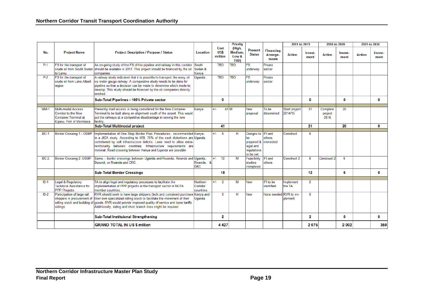|             |                                                                                                             |                                                                                                                                                                                                                                                                                                                                                                  |                                   |                         | <b>Priority</b>                           |                                                                                            |                                       | 2011 to 2015             |                 | 2016 to 2020                |                 | 2021 to 2030  |                 |
|-------------|-------------------------------------------------------------------------------------------------------------|------------------------------------------------------------------------------------------------------------------------------------------------------------------------------------------------------------------------------------------------------------------------------------------------------------------------------------------------------------------|-----------------------------------|-------------------------|-------------------------------------------|--------------------------------------------------------------------------------------------|---------------------------------------|--------------------------|-----------------|-----------------------------|-----------------|---------------|-----------------|
| No.         | <b>Project Name</b>                                                                                         | <b>Project Description / Purpose / Status</b>                                                                                                                                                                                                                                                                                                                    | Location                          | Cost<br>US\$<br>million | (High,<br>Medium.<br>Low &<br><b>TBD)</b> | <b>Present</b><br><b>Status</b>                                                            | <b>Financing</b><br>Arrange-<br>ments | <b>Action</b>            | Invest-<br>ment | <b>Action</b>               | Invest-<br>ment | <b>Action</b> | Invest-<br>ment |
| $P-1$       | FS for the transport of<br>to Lamu                                                                          | An on-going study of the FS of the pipeline and railway in this corridor<br>crude oil from South Sudan should be available in 2011. This project should be financed by the oil<br>companies.                                                                                                                                                                     | South<br>Sudan &<br>Kenva         | <b>TBD</b>              | <b>TBD</b>                                | <b>FS</b><br>underway                                                                      | Private<br>sector                     |                          |                 |                             |                 |               |                 |
| $P-2$       | FS for the transport of<br>crude oil from Lake Albert<br>region                                             | A railway study indicated that it is possible to transport the waxy oil<br>via meter gauge railway. A comparative study needs to be done for<br>pipeline so that a decision can be made to determine which mode to<br>develop. This study should be financed by the oil companies directly<br>nvolved.                                                           | Uganda,                           | <b>TBD</b>              | <b>TBD</b>                                | <b>FS</b><br>underway                                                                      | Private<br>sector                     |                          |                 |                             |                 |               |                 |
|             |                                                                                                             | Sub-Total Pipelines - 100% Private sector                                                                                                                                                                                                                                                                                                                        |                                   | 0                       |                                           |                                                                                            |                                       |                          | 0               |                             | $\mathbf 0$     |               | $\mathbf{0}$    |
| $MM-1$      | Multi-modal Access<br><b>Corridor to the New</b><br><b>Container Terminal at</b><br>Kipevu, Port of Mombasa | Presently road access is being considered for the New Container<br>Terminal to be built along an alignment south of the airport. This would<br>put the railways at a competitive disadvantage in serving the new<br>facility.                                                                                                                                    | Kenva                             | $+/-$                   | 41 M                                      | <b>New</b><br>proposal                                                                     | To be<br>determined                   | Start project<br>2014/15 | 21              | Complete<br>project<br>2016 | 20              |               |                 |
|             |                                                                                                             | Sub-Total Multimodal project                                                                                                                                                                                                                                                                                                                                     |                                   | 41                      |                                           |                                                                                            |                                       |                          | 21              |                             | 20              |               | 0               |
| <b>BC-1</b> | Border Crossing 1 - OSBP                                                                                    | Implementation of One Stop Border Post Procedures: recommended Kenya-<br>in a JICA study. According to WB, 75% of the cost distortions are Uganda<br>contributed by soft infrastructure deficits. Laws need to allow extra-<br>territoriality between countries. Infrastructure requirements are<br>minimal. Road crossing between Kenya and Uganda are possible |                                   | $+/-$<br>6              | н                                         | Designs to<br><b>be</b><br>prepared & interested<br>legal and<br>regulations<br>to be set. | <b>IFI</b> and<br>others              | Construct                | 6               |                             |                 |               |                 |
| <b>BC-2</b> | Border Crossing 2 -OSBP                                                                                     | Same - border crossings between Uganda and Rwanda, Rwanda and Uganda,<br>Burundi, or Rwanda and DRC.                                                                                                                                                                                                                                                             | Rwanda, &<br><b>DRC</b>           | $+/-$<br>12             | M                                         | Feasibility<br>studies<br>completed                                                        | IFI and<br>others                     | Construct 2              | 6               | Construct 2                 | 6               |               |                 |
|             |                                                                                                             | <b>Sub-Total Border Crossings</b>                                                                                                                                                                                                                                                                                                                                |                                   | 18                      |                                           |                                                                                            |                                       |                          | 12 <sup>°</sup> |                             | 6               |               | 0               |
| $IS-1$      | Legal & Regulatory<br><b>Technical Assistance for</b><br><b>PPP Projects</b>                                | TA to align legal and regulatory processes to facilitate the<br>implementation of PPP projects in the transport sector in NCTA<br>member countries.                                                                                                                                                                                                              | Northern<br>Corridor<br>countries | $+/-$<br>$\overline{2}$ | M                                         | <b>New</b>                                                                                 | <b>IFI</b> to be<br>identified.       | Implement<br>the TA      | $\overline{2}$  |                             |                 |               |                 |
| $IS-2$      | Participation of large rail<br>shippers in procurement of<br>rolling stock and building of<br>sidings       | RVR should seek to have large shippers (bulk and container) purchase Kenya and<br>their own specialized rolling stock to facilitate the movement of their<br>goods. RVR would provide improved quality of service and lower tariffs.<br>Additionally, siding and short branch lines might be required.                                                           | Uganda                            | $\Omega$                | н                                         | <b>New</b>                                                                                 | None needed                           | RVR to im-<br>plement    | $\mathbf{0}$    |                             |                 |               |                 |
|             |                                                                                                             | Sub-Total Instituional Strengthening                                                                                                                                                                                                                                                                                                                             |                                   | $\overline{\mathbf{2}}$ |                                           |                                                                                            |                                       |                          | 2               |                             | $\bf{0}$        |               | $\bf{0}$        |
|             |                                                                                                             | <b>GRAND TOTAL IN US \$ million</b>                                                                                                                                                                                                                                                                                                                              |                                   | 4427                    |                                           |                                                                                            |                                       |                          | 2075            |                             | 2002            |               | 350             |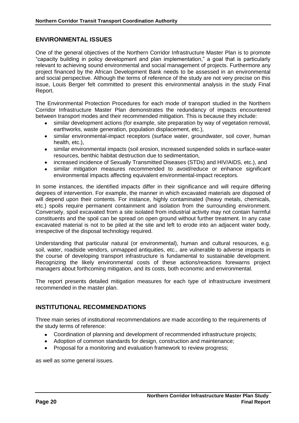#### **ENVIRONMENTAL ISSUES**

One of the general objectives of the Northern Corridor Infrastructure Master Plan is to promote "capacity building in policy development and plan implementation," a goal that is particularly relevant to achieving sound environmental and social management of projects. Furthermore any project financed by the African Development Bank needs to be assessed in an environmental and social perspective. Although the terms of reference of the study are not very precise on this issue, Louis Berger felt committed to present this environmental analysis in the study Final Report.

The Environmental Protection Procedures for each mode of transport studied in the Northern Corridor Infrastructure Master Plan demonstrates the redundancy of impacts encountered between transport modes and their recommended mitigation. This is because they include:

- similar development actions (for example, site preparation by way of vegetation removal, earthworks, waste generation, population displacement, etc.),
- similar environmental-impact receptors (surface water, groundwater, soil cover, human health, etc.),
- similar environmental impacts (soil erosion, increased suspended solids in surface-water resources, benthic habitat destruction due to sedimentation,
- increased incidence of Sexually Transmitted Diseases (STDs) and HIV/AIDS, etc.), and
- similar mitigation measures recommended to avoid/reduce or enhance significant environmental impacts affecting equivalent environmental-impact receptors.

In some instances, the identified impacts differ in their significance and will require differing degrees of intervention. For example, the manner in which excavated materials are disposed of will depend upon their contents. For instance, highly contaminated (heavy metals, chemicals, etc.) spoils require permanent containment and isolation from the surrounding environment. Conversely, spoil excavated from a site isolated from industrial activity may not contain harmful constituents and the spoil can be spread on open ground without further treatment. In any case excavated material is not to be piled at the site and left to erode into an adjacent water body, irrespective of the disposal technology required.

Understanding that particular natural (or environmental), human and cultural resources, e.g. soil, water, roadside vendors, unmapped antiquities, etc., are vulnerable to adverse impacts in the course of developing transport infrastructure is fundamental to sustainable development. Recognizing the likely environmental costs of these actions/reactions forewarns project managers about forthcoming mitigation, and its costs, both economic and environmental.

The report presents detailed mitigation measures for each type of infrastructure investment recommended in the master plan.

#### **INSTITUTIONAL RECOMMENDATIONS**

Three main series of institutional recommendations are made according to the requirements of the study terms of reference:

- Coordination of planning and development of recommended infrastructure projects;
- Adoption of common standards for design, construction and maintenance;
- Proposal for a monitoring and evaluation framework to review progress;

as well as some general issues.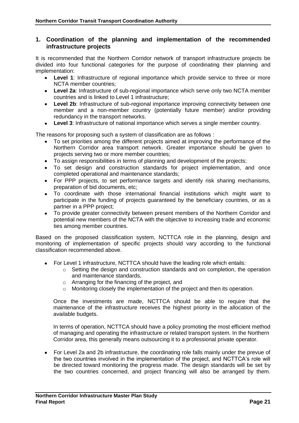#### **1. Coordination of the planning and implementation of the recommended infrastructure projects**

It is recommended that the Northern Corridor network of transport infrastructure projects be divided into four functional categories for the purpose of coordinating their planning and implementation:

- **Level 1**: Infrastructure of regional importance which provide service to three or more NCTA member countries;
- **Level 2a**: Infrastructure of sub-regional importance which serve only two NCTA member countries and is linked to Level 1 infrastructure;
- **Level 2b**: Infrastructure of sub-regional importance improving connectivity between one member and a non-member country (potentially future member) and/or providing redundancy in the transport networks.
- **Level 3**: Infrastructure of national importance which serves a single member country.

The reasons for proposing such a system of classification are as follows :

- To set priorities among the different projects aimed at improving the performance of the Northern Corridor area transport network. Greater importance should be given to projects serving two or more member countries;
- To assign responsibilities in terms of planning and development of the projects;
- To set design and construction standards for project implementation, and once completed operational and maintenance standards;
- For PPP projects, to set performance targets and identify risk sharing mechanisms, preparation of bid documents, etc;
- To coordinate with those international financial institutions which might want to participate in the funding of projects guaranteed by the beneficiary countries, or as a partner in a PPP project;
- To provide greater connectivity between present members of the Northern Corridor and potential new members of the NCTA with the objective to increasing trade and economic ties among member countries.

Based on the proposed classification system, NCTTCA role in the planning, design and monitoring of implementation of specific projects should vary according to the functional classification recommended above.

- For Level 1 infrastructure, NCTTCA should have the leading role which entails:
	- o Setting the design and construction standards and on completion, the operation and maintenance standards,
	- o Arranging for the financing of the project, and
	- o Monitoring closely the implementation of the project and then its operation.

Once the investments are made, NCTTCA should be able to require that the maintenance of the infrastructure receives the highest priority in the allocation of the available budgets.

In terms of operation, NCTTCA should have a policy promoting the most efficient method of managing and operating the infrastructure or related transport system. In the Northern Corridor area, this generally means outsourcing it to a professional private operator.

For Level 2a and 2b infrastructure, the coordinating role falls mainly under the prevue of the two countries involved in the implementation of the project, and NCTTCA's role will be directed toward monitoring the progress made. The design standards will be set by the two countries concerned, and project financing will also be arranged by them.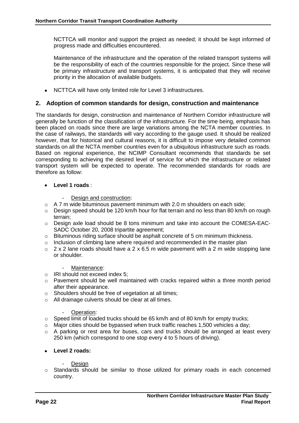NCTTCA will monitor and support the project as needed; it should be kept informed of progress made and difficulties encountered.

Maintenance of the infrastructure and the operation of the related transport systems will be the responsibility of each of the countries responsible for the project. Since these will be primary infrastructure and transport systems, it is anticipated that they will receive priority in the allocation of available budgets.

NCTTCA will have only limited role for Level 3 infrastructures.

#### **2. Adoption of common standards for design, construction and maintenance**

The standards for design, construction and maintenance of Northern Corridor infrastructure will generally be function of the classification of the infrastructure. For the time being, emphasis has been placed on roads since there are large variations among the NCTA member countries. In the case of railways, the standards will vary according to the gauge used. It should be realized however, that for historical and cultural reasons, it is difficult to impose very detailed common standards on all the NCTA member countries even for a ubiquitous infrastructure such as roads. Based on regional experience, the NCIMP Consultant recommends that standards be set corresponding to achieving the desired level of service for which the infrastructure or related transport system will be expected to operate. The recommended standards for roads are therefore as follow:

#### **Level 1 roads** :

- Design and construction:
- $\circ$  A 7 m wide bituminous pavement minimum with 2.0 m shoulders on each side;
- o Design speed should be 120 km/h hour for flat terrain and no less than 80 km/h on rough terrain;
- o Design axle load should be 8 tons minimum and take into account the COMESA-EAC-SADC October 20, 2008 tripartite agreement;
- $\circ$  Bituminous riding surface should be asphalt concrete of 5 cm minimum thickness.
- $\circ$  Inclusion of climbing lane where required and recommended in the master plan
- $\circ$  2 x 2 lane roads should have a 2 x 6.5 m wide pavement with a 2 m wide stopping lane or shoulder.

#### Maintenance:

- o IRI should not exceed index 5;
- o Pavement should be well maintained with cracks repaired within a three month period after their appearance.
- o Shoulders should be free of vegetation at all times;
- o All drainage culverts should be clear at all times.

#### Operation:

- o Speed limit of loaded trucks should be 65 km/h and of 80 km/h for empty trucks;
- o Major cities should be bypassed when truck traffic reaches 1,500 vehicles a day;
- $\circ$  A parking or rest area for buses, cars and trucks should be arranged at least every 250 km (which correspond to one stop every 4 to 5 hours of driving).

#### **Level 2 roads:**

#### **Design**

o Standards should be similar to those utilized for primary roads in each concerned country.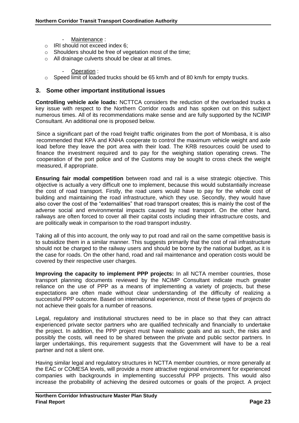- Maintenance :
- o IRI should not exceed index 6;
- o Shoulders should be free of vegetation most of the time;
- o All drainage culverts should be clear at all times.
	- Operation :
- $\circ$  Speed limit of loaded trucks should be 65 km/h and of 80 km/h for empty trucks.

#### **3. Some other important institutional issues**

**Controlling vehicle axle loads:** NCTTCA considers the reduction of the overloaded trucks a key issue with respect to the Northern Corridor roads and has spoken out on this subject numerous times. All of its recommendations make sense and are fully supported by the NCIMP Consultant. An additional one is proposed below.

Since a significant part of the road freight traffic originates from the port of Mombasa, it is also recommended that KPA and KNHA cooperate to control the maximum vehicle weight and axle load before they leave the port area with their load. The KRB resources could be used to finance the investment required and to pay for the weighing station operating crews. The cooperation of the port police and of the Customs may be sought to cross check the weight measured, if appropriate.

**Ensuring fair modal competition** between road and rail is a wise strategic objective. This objective is actually a very difficult one to implement, because this would substantially increase the cost of road transport. Firstly, the road users would have to pay for the whole cost of building and maintaining the road infrastructure, which they use. Secondly, they would have also cover the cost of the "externalities" that road transport creates; this is mainly the cost of the adverse social and environmental impacts caused by road transport. On the other hand, railways are often forced to cover all their capital costs including their infrastructure costs, and are politically weak in comparison to the road transport industry.

Taking all of this into account, the only way to put road and rail on the same competitive basis is to subsidize them in a similar manner. This suggests primarily that the cost of rail infrastructure should not be charged to the railway users and should be borne by the national budget, as it is the case for roads. On the other hand, road and rail maintenance and operation costs would be covered by their respective user charges.

**Improving the capacity to implement PPP projects:** In all NCTA member countries, those transport planning documents reviewed by the NCIMP Consultant indicate much greater reliance on the use of PPP as a means of implementing a variety of projects, but these expectations are often made without clear understanding of the difficulty of realizing a successful PPP outcome. Based on international experience, most of these types of projects do not achieve their goals for a number of reasons.

Legal, regulatory and institutional structures need to be in place so that they can attract experienced private sector partners who are qualified technically and financially to undertake the project. In addition, the PPP project must have realistic goals and as such, the risks and possibly the costs, will need to be shared between the private and public sector partners. In larger undertakings, this requirement suggests that the Government will have to be a real partner and not a silent one.

Having similar legal and regulatory structures in NCTTA member countries, or more generally at the EAC or COMESA levels, will provide a more attractive regional environment for experienced companies with backgrounds in implementing successful PPP projects. This would also increase the probability of achieving the desired outcomes or goals of the project. A project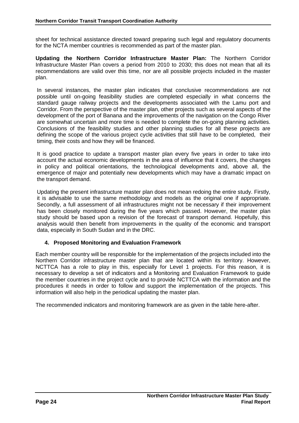sheet for technical assistance directed toward preparing such legal and regulatory documents for the NCTA member countries is recommended as part of the master plan.

**Updating the Northern Corridor Infrastructure Master Plan:** The Northern Corridor Infrastructure Master Plan covers a period from 2010 to 2030; this does not mean that all its recommendations are valid over this time, nor are all possible projects included in the master plan.

In several instances, the master plan indicates that conclusive recommendations are not possible until on-going feasibility studies are completed especially in what concerns the standard gauge railway projects and the developments associated with the Lamu port and Corridor. From the perspective of the master plan, other projects such as several aspects of the development of the port of Banana and the improvements of the navigation on the Congo River are somewhat uncertain and more time is needed to complete the on-going planning activities. Conclusions of the feasibility studies and other planning studies for all these projects are defining the scope of the various project cycle activities that still have to be completed, their timing, their costs and how they will be financed.

It is good practice to update a transport master plan every five years in order to take into account the actual economic developments in the area of influence that it covers, the changes in policy and political orientations, the technological developments and, above all, the emergence of major and potentially new developments which may have a dramatic impact on the transport demand.

Updating the present infrastructure master plan does not mean redoing the entire study. Firstly, it is advisable to use the same methodology and models as the original one if appropriate. Secondly, a full assessment of all infrastructures might not be necessary if their improvement has been closely monitored during the five years which passed. However, the master plan study should be based upon a revision of the forecast of transport demand. Hopefully, this analysis would then benefit from improvements in the quality of the economic and transport data, especially in South Sudan and in the DRC.

#### **4. Proposed Monitoring and Evaluation Framework**

Each member country will be responsible for the implementation of the projects included into the Northern Corridor infrastructure master plan that are located within its territory. However, NCTTCA has a role to play in this, especially for Level 1 projects. For this reason, it is necessary to develop a set of indicators and a Monitoring and Evaluation Framework to guide the member countries in the project cycle and to provide NCTTCA with the information and the procedures it needs in order to follow and support the implementation of the projects. This information will also help in the periodical updating the master plan.

The recommended indicators and monitoring framework are as given in the table here-after.